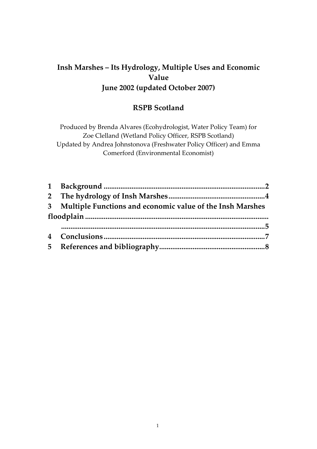# **Insh Marshes – Its Hydrology, Multiple Uses and Economic Value June 2002 (updated October 2007)**

## **RSPB Scotland**

Produced by Brenda Alvares (Ecohydrologist, Water Policy Team) for Zoe Clelland (Wetland Policy Officer, RSPB Scotland) Updated by Andrea Johnstonova (Freshwater Policy Officer) and Emma Comerford (Environmental Economist)

| 3 Multiple Functions and economic value of the Insh Marshes |  |
|-------------------------------------------------------------|--|
|                                                             |  |
|                                                             |  |
|                                                             |  |
|                                                             |  |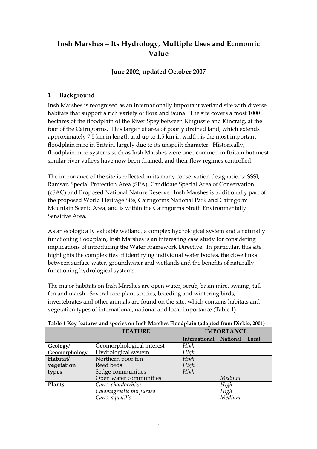# **Insh Marshes – Its Hydrology, Multiple Uses and Economic Value**

## **June 2002, updated October 2007**

## <span id="page-1-0"></span>**1 Background**

Insh Marshes is recognised as an internationally important wetland site with diverse habitats that support a rich variety of flora and fauna. The site covers almost 1000 hectares of the floodplain of the River Spey between Kingussie and Kincraig, at the foot of the Cairngorms. This large flat area of poorly drained land, which extends approximately 7.5 km in length and up to 1.5 km in width, is the most important floodplain mire in Britain, largely due to its unspoilt character. Historically, floodplain mire systems such as Insh Marshes were once common in Britain but most similar river valleys have now been drained, and their flow regimes controlled.

The importance of the site is reflected in its many conservation designations: SSSI, Ramsar, Special Protection Area (SPA), Candidate Special Area of Conservation (cSAC) and Proposed National Nature Reserve. Insh Marshes is additionally part of the proposed World Heritage Site, Cairngorms National Park and Cairngorm Mountain Scenic Area, and is within the Cairngorms Strath Environmentally Sensitive Area.

As an ecologically valuable wetland, a complex hydrological system and a naturally functioning floodplain, Insh Marshes is an interesting case study for considering implications of introducing the Water Framework Directive. In particular, this site highlights the complexities of identifying individual water bodies, the close links between surface water, groundwater and wetlands and the benefits of naturally functioning hydrological systems.

The major habitats on Insh Marshes are open water, scrub, basin mire, swamp, tall fen and marsh. Several rare plant species, breeding and wintering birds, invertebrates and other animals are found on the site, which contains habitats and vegetation types of international, national and local importance (Table 1).

|               | <b>FEATURE</b>            | <b>IMPORTANCE</b>            |  |
|---------------|---------------------------|------------------------------|--|
|               |                           | International National Local |  |
| Geology/      | Geomorphological interest | High                         |  |
| Geomorphology | Hydrological system       | High                         |  |
| Habitat/      | Northern poor fen         | High                         |  |
| vegetation    | Reed beds                 | High                         |  |
| types         | Sedge communities         | High                         |  |
|               | Open water communities    | Medium                       |  |
| Plants        | Carex chordorrhiza        | High                         |  |
|               | Calamagrostis purpuraea   | High                         |  |
|               | Carex aquatilis           | Medium                       |  |

#### **Table 1 Key features and species on Insh Marshes Floodplain (adapted from Dickie, 2001)**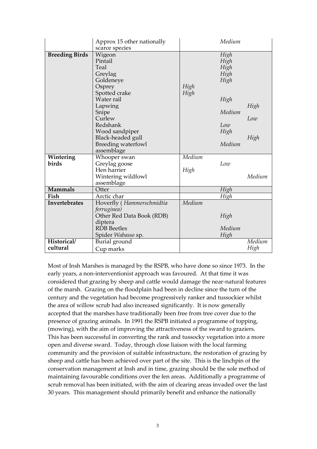|                       | Approx 15 other nationally                                                                                                                                                                               |              | Medium                                                                          |                     |
|-----------------------|----------------------------------------------------------------------------------------------------------------------------------------------------------------------------------------------------------|--------------|---------------------------------------------------------------------------------|---------------------|
|                       | scarce species                                                                                                                                                                                           |              |                                                                                 |                     |
| <b>Breeding Birds</b> | Wigeon<br>Pintail<br>Teal<br>Greylag<br>Goldeneye<br>Osprey<br>Spotted crake<br>Water rail<br>Lapwing<br>Snipe<br>Curlew<br>Redshank<br>Wood sandpiper<br>Black-headed gull<br><b>Breeding waterfowl</b> | High<br>High | High<br>High<br>High<br>High<br>High<br>High<br>Medium<br>Low<br>High<br>Medium | High<br>Low<br>High |
| Wintering             | assemblage<br>Whooper swan                                                                                                                                                                               | Medium       |                                                                                 |                     |
| birds                 | Greylag goose                                                                                                                                                                                            |              | Low                                                                             |                     |
|                       | Hen harrier                                                                                                                                                                                              | High         |                                                                                 |                     |
|                       | Wintering wildfowl                                                                                                                                                                                       |              |                                                                                 | Medium              |
|                       | assemblage                                                                                                                                                                                               |              |                                                                                 |                     |
| <b>Mammals</b>        | Otter                                                                                                                                                                                                    |              | High                                                                            |                     |
| Fish                  | Arctic char                                                                                                                                                                                              |              | High                                                                            |                     |
| Invertebrates         | Hoverfly (Hammerschmidtia                                                                                                                                                                                | Medium       |                                                                                 |                     |
|                       | ferruginea)                                                                                                                                                                                              |              |                                                                                 |                     |
|                       | Other Red Data Book (RDB)                                                                                                                                                                                |              | High                                                                            |                     |
|                       | diptera                                                                                                                                                                                                  |              |                                                                                 |                     |
|                       | <b>RDB</b> Beetles                                                                                                                                                                                       |              | Medium                                                                          |                     |
|                       | Spider Wabasso sp.                                                                                                                                                                                       |              | High                                                                            |                     |
| Historical/           | Burial ground                                                                                                                                                                                            |              |                                                                                 | Medium              |
| cultural              | Cup marks                                                                                                                                                                                                |              |                                                                                 | High                |

Most of Insh Marshes is managed by the RSPB, who have done so since 1973. In the early years, a non-interventionist approach was favoured. At that time it was considered that grazing by sheep and cattle would damage the near-natural features of the marsh. Grazing on the floodplain had been in decline since the turn of the century and the vegetation had become progressively ranker and tussockier whilst the area of willow scrub had also increased significantly. It is now generally accepted that the marshes have traditionally been free from tree cover due to the presence of grazing animals. In 1991 the RSPB initiated a programme of topping, (mowing), with the aim of improving the attractiveness of the sward to graziers. This has been successful in converting the rank and tussocky vegetation into a more open and diverse sward. Today, through close liaison with the local farming community and the provision of suitable infrastructure, the restoration of grazing by sheep and cattle has been achieved over part of the site. This is the linchpin of the conservation management at Insh and in time, grazing should be the sole method of maintaining favourable conditions over the fen areas. Additionally a programme of scrub removal has been initiated, with the aim of clearing areas invaded over the last 30 years. This management should primarily benefit and enhance the nationally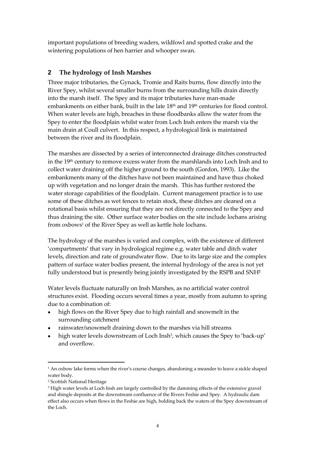important populations of breeding waders, wildfowl and spotted crake and the wintering populations of hen harrier and whooper swan.

### <span id="page-3-0"></span>**2 The hydrology of Insh Marshes**

Three major tributaries, the Gynack, Tromie and Raits burns, flow directly into the River Spey, whilst several smaller burns from the surrounding hills drain directly into the marsh itself. The Spey and its major tributaries have man-made embankments on either bank, built in the late  $18<sup>th</sup>$  and  $19<sup>th</sup>$  centuries for flood control. When water levels are high, breaches in these floodbanks allow the water from the Spey to enter the floodplain whilst water from Loch Insh enters the marsh via the main drain at Coull culvert. In this respect, a hydrological link is maintained between the river and its floodplain.

The marshes are dissected by a series of interconnected drainage ditches constructed in the 19th century to remove excess water from the marshlands into Loch Insh and to collect water draining off the higher ground to the south (Gordon, 1993). Like the embankments many of the ditches have not been maintained and have thus choked up with vegetation and no longer drain the marsh. This has further restored the water storage capabilities of the floodplain. Current management practice is to use some of these ditches as wet fences to retain stock, these ditches are cleaned on a rotational basis whilst ensuring that they are not directly connected to the Spey and thus draining the site. Other surface water bodies on the site include lochans arising from oxbows<sup>1</sup> of the River Spey as well as kettle hole lochans.

The hydrology of the marshes is varied and complex, with the existence of different 'compartments' that vary in hydrological regime e.g. water table and ditch water levels, direction and rate of groundwater flow. Due to its large size and the complex pattern of surface water bodies present, the internal hydrology of the area is not yet fully understood but is presently being jointly investigated by the RSPB and SNH**<sup>2</sup>**

Water levels fluctuate naturally on Insh Marshes, as no artificial water control structures exist. Flooding occurs several times a year, mostly from autumn to spring due to a combination of:

- high flows on the River Spey due to high rainfall and snowmelt in the  $\bullet$ surrounding catchment
- rainwater/snowmelt draining down to the marshes via hill streams  $\bullet$
- $\bullet$ high water levels downstream of Loch Insh<sup>3</sup>, which causes the Spey to 'back-up' and overflow.

 $\overline{a}$ 

 $<sup>1</sup>$  An oxbow lake forms when the river's course changes, abandoning a meander to leave a sickle shaped</sup> water body.

<sup>2</sup> Scottish National Heritage

<sup>3</sup> High water levels at Loch Insh are largely controlled by the damming effects of the extensive gravel and shingle deposits at the downstream confluence of the Rivers Feshie and Spey. A hydraulic dam effect also occurs when flows in the Feshie are high, holding back the waters of the Spey downstream of the Loch.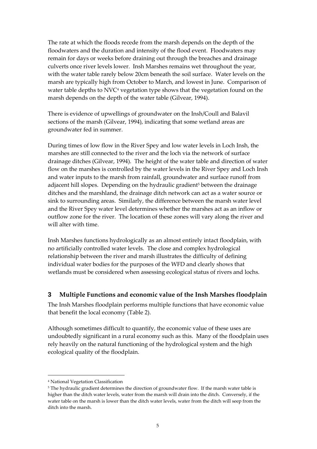The rate at which the floods recede from the marsh depends on the depth of the floodwaters and the duration and intensity of the flood event. Floodwaters may remain for days or weeks before draining out through the breaches and drainage culverts once river levels lower. Insh Marshes remains wet throughout the year, with the water table rarely below 20cm beneath the soil surface. Water levels on the marsh are typically high from October to March, and lowest in June. Comparison of water table depths to NVC<sup>4</sup> vegetation type shows that the vegetation found on the marsh depends on the depth of the water table (Gilvear, 1994).

There is evidence of upwellings of groundwater on the Insh/Coull and Balavil sections of the marsh (Gilvear, 1994), indicating that some wetland areas are groundwater fed in summer.

During times of low flow in the River Spey and low water levels in Loch Insh, the marshes are still connected to the river and the loch via the network of surface drainage ditches (Gilvear, 1994). The height of the water table and direction of water flow on the marshes is controlled by the water levels in the River Spey and Loch Insh and water inputs to the marsh from rainfall, groundwater and surface runoff from adjacent hill slopes. Depending on the hydraulic gradient<sup>5</sup> between the drainage ditches and the marshland, the drainage ditch network can act as a water source or sink to surrounding areas. Similarly, the difference between the marsh water level and the River Spey water level determines whether the marshes act as an inflow or outflow zone for the river. The location of these zones will vary along the river and will alter with time.

Insh Marshes functions hydrologically as an almost entirely intact floodplain, with no artificially controlled water levels. The close and complex hydrological relationship between the river and marsh illustrates the difficulty of defining individual water bodies for the purposes of the WFD and clearly shows that wetlands must be considered when assessing ecological status of rivers and lochs.

#### <span id="page-4-0"></span>**3 Multiple Functions and economic value of the Insh Marshes floodplain**

The Insh Marshes floodplain performs multiple functions that have economic value that benefit the local economy (Table 2).

Although sometimes difficult to quantify, the economic value of these uses are undoubtedly significant in a rural economy such as this. Many of the floodplain uses rely heavily on the natural functioning of the hydrological system and the high ecological quality of the floodplain.

 $\overline{a}$ 

<sup>4</sup> National Vegetation Classification

<sup>&</sup>lt;sup>5</sup> The hydraulic gradient determines the direction of groundwater flow. If the marsh water table is higher than the ditch water levels, water from the marsh will drain into the ditch. Conversely, if the water table on the marsh is lower than the ditch water levels, water from the ditch will seep from the ditch into the marsh.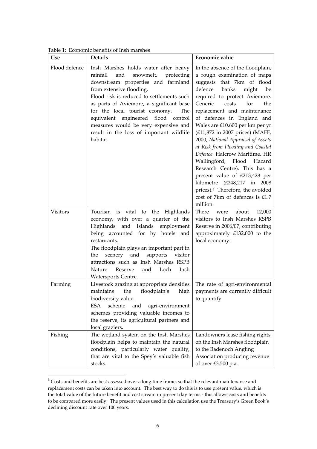| <b>Use</b>    | <b>Details</b>                                                                                                                                                                                                                                                                                                                                                                                                             | Economic value                                                                                                                                                                                                                                                                                                                                                                                                                                                                                                                                                                                                                                                                  |
|---------------|----------------------------------------------------------------------------------------------------------------------------------------------------------------------------------------------------------------------------------------------------------------------------------------------------------------------------------------------------------------------------------------------------------------------------|---------------------------------------------------------------------------------------------------------------------------------------------------------------------------------------------------------------------------------------------------------------------------------------------------------------------------------------------------------------------------------------------------------------------------------------------------------------------------------------------------------------------------------------------------------------------------------------------------------------------------------------------------------------------------------|
| Flood defence | Insh Marshes holds water after heavy<br>rainfall<br>and snowmelt,<br>protecting<br>downstream properties and farmland<br>from extensive flooding.<br>Flood risk is reduced to settlements such<br>as parts of Aviemore, a significant base<br>for the local tourist economy.<br>The<br>equivalent engineered flood control<br>measures would be very expensive and<br>result in the loss of important wildlife<br>habitat. | In the absence of the floodplain,<br>a rough examination of maps<br>suggests that 7km of flood<br>defence<br>banks<br>might<br>be<br>required to protect Aviemore.<br>Generic<br>costs<br>for<br>the<br>replacement and maintenance<br>of defences in England and<br>Wales are £10,600 per km per yr<br>(£11,872 in 2007 prices) (MAFF,<br>2000, National Appraisal of Assets<br>at Risk from Flooding and Coastal<br>Defence. Halcrow Maritime, HR<br>Wallingford, Flood Hazard<br>Research Centre). This has a<br>present value of £213,428 per<br>kilometre (£248,217 in 2008<br>prices). <sup>6</sup> Therefore, the avoided<br>cost of 7km of defences is £1.7<br>million. |
| Visitors      | Tourism is vital to the Highlands<br>economy, with over a quarter of the<br>Highlands and Islands employment<br>being accounted for by hotels and<br>restaurants.<br>The floodplain plays an important part in<br>scenery and<br>supports<br>visitor<br>the<br>attractions such as Insh Marshes RSPB<br>Reserve<br>and Loch<br>Insh<br>Nature<br>Watersports Centre.                                                       | There<br>about<br>12,000<br>were<br>visitors to Insh Marshes RSPB<br>Reserve in 2006/07, contributing<br>approximately £132,000 to the<br>local economy.                                                                                                                                                                                                                                                                                                                                                                                                                                                                                                                        |
| Farming       | Livestock grazing at appropriate densities<br>maintains the floodplain's high $\vert$ payments are currently difficult<br>biodiversity value.<br>scheme<br>ESA<br>and<br>agri-environment<br>schemes providing valuable incomes to<br>the reserve, its agricultural partners and<br>local graziers.                                                                                                                        | The rate of agri-environmental<br>to quantify                                                                                                                                                                                                                                                                                                                                                                                                                                                                                                                                                                                                                                   |
| Fishing       | The wetland system on the Insh Marshes<br>floodplain helps to maintain the natural<br>conditions, particularly water quality,<br>that are vital to the Spey's valuable fish<br>stocks.                                                                                                                                                                                                                                     | Landowners lease fishing rights<br>on the Insh Marshes floodplain<br>to the Badenoch Angling<br>Association producing revenue<br>of over £3,500 p.a.                                                                                                                                                                                                                                                                                                                                                                                                                                                                                                                            |

Table 1: Economic benefits of Insh marshes

 $\overline{a}$ 

 $6$  Costs and benefits are best assessed over a long time frame, so that the relevant maintenance and replacement costs can be taken into account. The best way to do this is to use present value, which is the total value of the future benefit and cost stream in present day terms - this allows costs and benefits to be compared more easily. The present values used in this calculation use the Treasury's Green Book's declining discount rate over 100 years.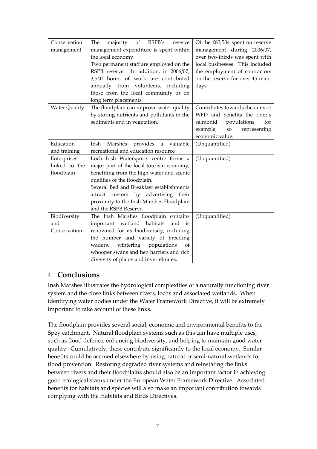| Conservation         | majority of RSPB's<br>The<br>reserve         | Of the £83,504 spent on reserve        |
|----------------------|----------------------------------------------|----------------------------------------|
| management           | management expenditure is spent within       | management during 2006/07,             |
|                      | the local economy.                           | over two-thirds was spent with         |
|                      | Two permanent staff are employed on the      | local businesses. This included        |
|                      | RSPB reserve. In addition, in 2006/07,       | the employment of contractors          |
|                      | 3,540 hours of work are contributed          | on the reserve for over 45 man-        |
|                      | annually from volunteers, including          | days.                                  |
|                      | those from the local community or on         |                                        |
|                      | long term placements.                        |                                        |
| <b>Water Quality</b> | The floodplain can improve water quality     | Contributes towards the aims of        |
|                      | by storing nutrients and pollutants in the   | WFD and benefits the river's           |
|                      | sediments and in vegetation.                 | salmonid<br>populations,<br>for        |
|                      |                                              | example,<br>${\bf SO}$<br>representing |
|                      |                                              | economic value.                        |
| Education            | Marshes<br>provides<br>valuable<br>Insh<br>a | (Unquantified)                         |
| and training         | recreational and education resource          |                                        |
| Enterprises          | Loch Insh Watersports centre forms a         | (Unquantified)                         |
| linked to the        | major part of the local tourism economy,     |                                        |
| floodplain           | benefiting from the high water and scenic    |                                        |
|                      | qualities of the floodplain.                 |                                        |
|                      | Several Bed and Breakfast establishments     |                                        |
|                      | attract custom by advertising their          |                                        |
|                      | proximity to the Insh Marshes Floodplain     |                                        |
|                      | and the RSPB Reserve.                        |                                        |
| Biodiversity         | The Insh Marshes floodplain contains         | (Unquantified)                         |
| and                  | important wetland habitats<br>and<br>is      |                                        |
| Conservation         | renowned for its biodiversity, including     |                                        |
|                      | the number and variety of breeding           |                                        |
|                      | waders, wintering populations<br>of          |                                        |
|                      | whooper swans and hen harriers and rich      |                                        |
|                      | diversity of plants and invertebrates.       |                                        |

## <span id="page-6-0"></span>4. **Conclusions**

Insh Marshes illustrates the hydrological complexities of a naturally functioning river system and the close links between rivers, lochs and associated wetlands. When identifying water bodies under the Water Framework Directive, it will be extremely important to take account of these links.

The floodplain provides several social, economic and environmental benefits to the Spey catchment. Natural floodplain systems such as this can have multiple uses, such as flood defence, enhancing biodiversity, and helping to maintain good water quality. Cumulatively, these contribute significantly to the local economy. Similar benefits could be accrued elsewhere by using natural or semi-natural wetlands for flood prevention. Restoring degraded river systems and reinstating the links between rivers and their floodplains should also be an important factor in achieving good ecological status under the European Water Framework Directive. Associated benefits for habitats and species will also make an important contribution towards complying with the Habitats and Birds Directives.